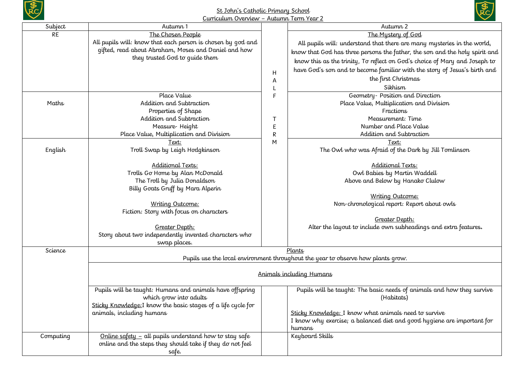

## St John's Catholic Primary School Curriculum Overview – Autumn Term Year 2



| All pupils will: understand that there are many mysteries in the world,<br>know that God has three persons the father, the son and the holy spirit and |  |  |  |
|--------------------------------------------------------------------------------------------------------------------------------------------------------|--|--|--|
|                                                                                                                                                        |  |  |  |
|                                                                                                                                                        |  |  |  |
|                                                                                                                                                        |  |  |  |
|                                                                                                                                                        |  |  |  |
| know this as the trinity, To reflect on God's choice of Mary and Joseph to                                                                             |  |  |  |
| have God's son and to become familiar with the story of Jesus's birth and                                                                              |  |  |  |
|                                                                                                                                                        |  |  |  |
|                                                                                                                                                        |  |  |  |
|                                                                                                                                                        |  |  |  |
|                                                                                                                                                        |  |  |  |
|                                                                                                                                                        |  |  |  |
|                                                                                                                                                        |  |  |  |
|                                                                                                                                                        |  |  |  |
|                                                                                                                                                        |  |  |  |
|                                                                                                                                                        |  |  |  |
| The Owl who was Afraid of the Dark by Jill Tomlinson                                                                                                   |  |  |  |
|                                                                                                                                                        |  |  |  |
|                                                                                                                                                        |  |  |  |
|                                                                                                                                                        |  |  |  |
|                                                                                                                                                        |  |  |  |
|                                                                                                                                                        |  |  |  |
|                                                                                                                                                        |  |  |  |
|                                                                                                                                                        |  |  |  |
|                                                                                                                                                        |  |  |  |
|                                                                                                                                                        |  |  |  |
| Alter the layout to include own subheadings and extra features.                                                                                        |  |  |  |
|                                                                                                                                                        |  |  |  |
|                                                                                                                                                        |  |  |  |
|                                                                                                                                                        |  |  |  |
| Plants<br>Pupils use the local environment throughout the year to observe how plants grow.                                                             |  |  |  |
|                                                                                                                                                        |  |  |  |
| Animals including Humans                                                                                                                               |  |  |  |
| Pupils will be taught: The basic needs of animals and how they survive                                                                                 |  |  |  |
|                                                                                                                                                        |  |  |  |
|                                                                                                                                                        |  |  |  |
|                                                                                                                                                        |  |  |  |
| I know why exercise; a balanced diet and good hygiene are important for                                                                                |  |  |  |
|                                                                                                                                                        |  |  |  |
|                                                                                                                                                        |  |  |  |
|                                                                                                                                                        |  |  |  |
|                                                                                                                                                        |  |  |  |
|                                                                                                                                                        |  |  |  |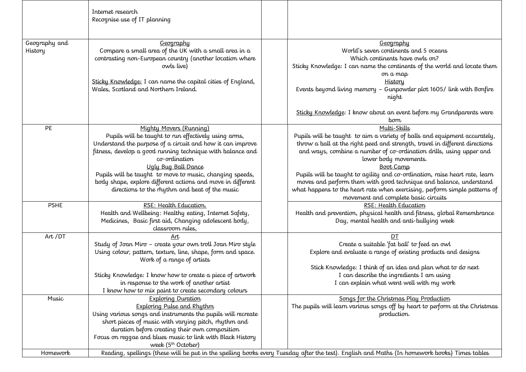|                          | Internet research<br>Recognise use of IT planning                                                                                                                                                                                                                                                                                                                                                                                |                                                                                                                                                                                                                                                                                                                                                                                                                                                                                                                                                                         |
|--------------------------|----------------------------------------------------------------------------------------------------------------------------------------------------------------------------------------------------------------------------------------------------------------------------------------------------------------------------------------------------------------------------------------------------------------------------------|-------------------------------------------------------------------------------------------------------------------------------------------------------------------------------------------------------------------------------------------------------------------------------------------------------------------------------------------------------------------------------------------------------------------------------------------------------------------------------------------------------------------------------------------------------------------------|
| Geography and<br>History | Geography<br>Compare a small area of the UK with a small area in a<br>contrasting non-European country (another location where<br>owls live)<br>Sticky Knowledge: I can name the capital cities of England,<br>Wales, Scotland and Northern Ireland.                                                                                                                                                                             | Geography<br>World's seven continents and 5 oceans<br>Which continents have owls on?<br>Sticky Knowledge: I can name the continents of the world and locate them<br>on a map<br><b>History</b><br>Events beyond living memory - Gunpowder plot 1605/ link with Bonfire<br>night<br>Sticky Knowledge: I know about an event before my Grandparents were<br>born                                                                                                                                                                                                          |
| PE                       | Mighty Movers (Running)<br>Pupils will be taught to run effectively using arms,<br>Understand the purpose of a circuit and how it can improve<br>fitness, develop a good running technique with balance and<br>co-ordination<br>Ugly Bug Ball Dance<br>Pupils will be taught to move to music, changing speeds,<br>body shape, explore different actions and move in different<br>directions to the rhythm and beat of the music | Multi-Skills<br>Pupils will be taught to aim a variety of balls and equipment accurately,<br>throw a ball at the right peed and strength, travel in different directions<br>and ways, combine a number of co-ordination drills, using upper and<br>lower body movements.<br><b>Boot Camp</b><br>Pupils will be taught to agility and co-ordination, raise heart rate, learn<br>moves and perform them with good technique and balance, understand<br>what happens to the heart rate when exercising, perform simple patterns of<br>movement and complete basic circuits |
| <b>PSHE</b>              | RSE: Health Education.<br>Health and Wellbeing: Healthy eating, Internet Safety,<br>Medicines, Basic first aid, Changing adolescent body,<br>classroom rules,                                                                                                                                                                                                                                                                    | RSE: Health Education<br>Health and prevention, physical health and fitness, global Remembrance<br>Day, mental health and anti-bullying week                                                                                                                                                                                                                                                                                                                                                                                                                            |
| Art /DT                  | Art<br>Study of Joan Miro - create your own troll Joan Miro style<br>Using colour, pattern, texture, line, shape, form and space.<br>Work of a range of artists<br>Sticky Knowledge: I know how to create a piece of artwork<br>in response to the work of another artist<br>I know how to mix paint to create secondary colours                                                                                                 | DT<br>Create a suitable 'fat ball' to feed an owl<br>Explore and evaluate a range of existing products and designs<br>Stick Knowledge: I think of an idea and plan what to do next<br>I can describe the ingredients I am using<br>I can explain what went well with my work                                                                                                                                                                                                                                                                                            |
| Music                    | <b>Exploring Duration</b><br><b>Exploring Pulse and Rhythm</b><br>Using various songs and instruments the pupils will recreate<br>short pieces of music with varying pitch, rhythm and<br>duration before creating their own composition<br>Focus on reggae and blues music to link with Black History<br>week (5 <sup>th</sup> October)                                                                                         | Songs for the Christmas Play Production<br>The pupils will learn various songs off by heart to perform at the Christmas<br>production.                                                                                                                                                                                                                                                                                                                                                                                                                                  |
| Homework                 |                                                                                                                                                                                                                                                                                                                                                                                                                                  | Reading, spellings (these will be put in the spelling books every Tuesday after the test). English and Maths (In homework books) Times tables                                                                                                                                                                                                                                                                                                                                                                                                                           |